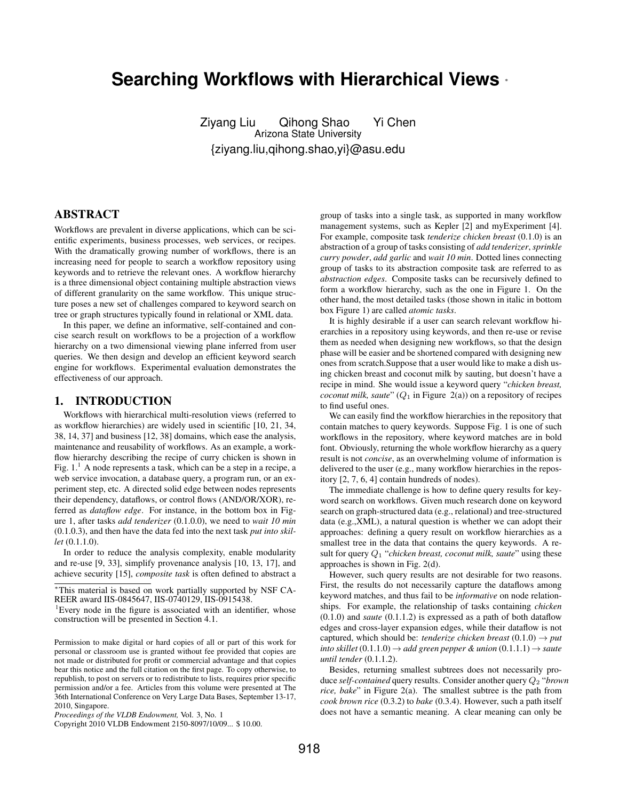# **Searching Workflows with Hierarchical Views** *<sup>∗</sup>*

Ziyang Liu Qihong Shao Yi Chen Arizona State University {ziyang.liu,qihong.shao,yi}@asu.edu

# ABSTRACT

Workflows are prevalent in diverse applications, which can be scientific experiments, business processes, web services, or recipes. With the dramatically growing number of workflows, there is an increasing need for people to search a workflow repository using keywords and to retrieve the relevant ones. A workflow hierarchy is a three dimensional object containing multiple abstraction views of different granularity on the same workflow. This unique structure poses a new set of challenges compared to keyword search on tree or graph structures typically found in relational or XML data.

In this paper, we define an informative, self-contained and concise search result on workflows to be a projection of a workflow hierarchy on a two dimensional viewing plane inferred from user queries. We then design and develop an efficient keyword search engine for workflows. Experimental evaluation demonstrates the effectiveness of our approach.

#### 1. INTRODUCTION

Workflows with hierarchical multi-resolution views (referred to as workflow hierarchies) are widely used in scientific [10, 21, 34, 38, 14, 37] and business [12, 38] domains, which ease the analysis, maintenance and reusability of workflows. As an example, a workflow hierarchy describing the recipe of curry chicken is shown in Fig.  $1<sup>1</sup>$  A node represents a task, which can be a step in a recipe, a web service invocation, a database query, a program run, or an experiment step, etc. A directed solid edge between nodes represents their dependency, dataflows, or control flows (AND/OR/XOR), referred as *dataflow edge*. For instance, in the bottom box in Figure 1, after tasks *add tenderizer* (0.1.0.0), we need to *wait 10 min* (0.1.0.3), and then have the data fed into the next task *put into skillet* (0.1.1.0).

In order to reduce the analysis complexity, enable modularity and re-use [9, 33], simplify provenance analysis [10, 13, 17], and achieve security [15], *composite task* is often defined to abstract a

group of tasks into a single task, as supported in many workflow management systems, such as Kepler [2] and myExperiment [4]. For example, composite task *tenderize chicken breast* (0.1.0) is an abstraction of a group of tasks consisting of *add tenderizer*, *sprinkle curry powder*, *add garlic* and *wait 10 min*. Dotted lines connecting group of tasks to its abstraction composite task are referred to as *abstraction edges*. Composite tasks can be recursively defined to form a workflow hierarchy, such as the one in Figure 1. On the other hand, the most detailed tasks (those shown in italic in bottom box Figure 1) are called *atomic tasks*.

It is highly desirable if a user can search relevant workflow hierarchies in a repository using keywords, and then re-use or revise them as needed when designing new workflows, so that the design phase will be easier and be shortened compared with designing new ones from scratch.Suppose that a user would like to make a dish using chicken breast and coconut milk by sauting, but doesn't have a recipe in mind. She would issue a keyword query "*chicken breast, coconut milk, saute*" (*Q*<sup>1</sup> in Figure 2(a)) on a repository of recipes to find useful ones.

We can easily find the workflow hierarchies in the repository that contain matches to query keywords. Suppose Fig. 1 is one of such workflows in the repository, where keyword matches are in bold font. Obviously, returning the whole workflow hierarchy as a query result is not *concise*, as an overwhelming volume of information is delivered to the user (e.g., many workflow hierarchies in the repository [2, 7, 6, 4] contain hundreds of nodes).

The immediate challenge is how to define query results for keyword search on workflows. Given much research done on keyword search on graph-structured data (e.g., relational) and tree-structured data (e.g.,XML), a natural question is whether we can adopt their approaches: defining a query result on workflow hierarchies as a smallest tree in the data that contains the query keywords. A result for query *Q*<sup>1</sup> "*chicken breast, coconut milk, saute*" using these approaches is shown in Fig. 2(d).

However, such query results are not desirable for two reasons. First, the results do not necessarily capture the dataflows among keyword matches, and thus fail to be *informative* on node relationships. For example, the relationship of tasks containing *chicken* (0.1.0) and *saute* (0.1.1.2) is expressed as a path of both dataflow edges and cross-layer expansion edges, while their dataflow is not captured, which should be: *tenderize chicken breast*  $(0.1.0) \rightarrow put$ *into skillet*  $(0.1.1.0) \rightarrow$  *add green pepper & union*  $(0.1.1.1) \rightarrow$  *saute until tender* (0.1.1.2).

Besides, returning smallest subtrees does not necessarily produce *self-contained* query results. Consider another query *Q*<sup>2</sup> "*brown rice, bake*" in Figure 2(a). The smallest subtree is the path from *cook brown rice* (0.3.2) to *bake* (0.3.4). However, such a path itself does not have a semantic meaning. A clear meaning can only be

*<sup>∗</sup>*This material is based on work partially supported by NSF CA-REER award IIS-0845647, IIS-0740129, IIS-0915438.

<sup>&</sup>lt;sup>1</sup>Every node in the figure is associated with an identifier, whose construction will be presented in Section 4.1.

Permission to make digital or hard copies of all or part of this work for personal or classroom use is granted without fee provided that copies are not made or distributed for profit or commercial advantage and that copies bear this notice and the full citation on the first page. To copy otherwise, to republish, to post on servers or to redistribute to lists, requires prior specific permission and/or a fee. Articles from this volume were presented at The 36th International Conference on Very Large Data Bases, September 13-17, 2010, Singapore.

*Proceedings of the VLDB Endowment,* Vol. 3, No. 1

Copyright 2010 VLDB Endowment 2150-8097/10/09... \$ 10.00.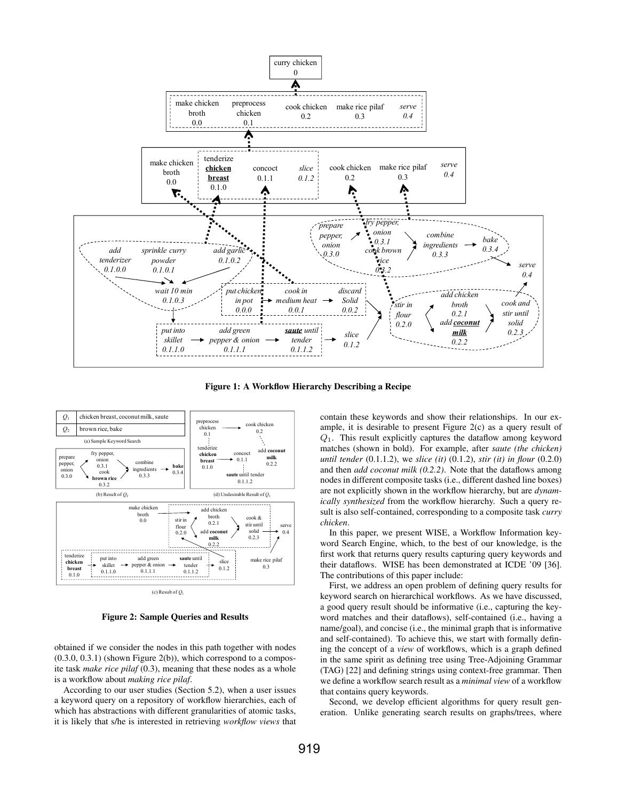

Figure 1: A Workflow Hierarchy Describing a Recipe



(c) Result of  $Q_1$ 

Figure 2: Sample Queries and Results

obtained if we consider the nodes in this path together with nodes  $(0.3.0, 0.3.1)$  (shown Figure 2(b)), which correspond to a composite task *make rice pilaf* (0.3), meaning that these nodes as a whole is a workflow about *making rice pilaf*.

According to our user studies (Section 5.2), when a user issues a keyword query on a repository of workflow hierarchies, each of which has abstractions with different granularities of atomic tasks, it is likely that s/he is interested in retrieving *workflow views* that contain these keywords and show their relationships. In our example, it is desirable to present Figure 2(c) as a query result of *Q*1. This result explicitly captures the dataflow among keyword matches (shown in bold). For example, after *saute (the chicken) until tender* (0.1.1.2), we *slice (it)* (0.1.2), *stir (it) in flour* (0.2.0) and then *add coconut milk (0.2.2)*. Note that the dataflows among nodes in different composite tasks (i.e., different dashed line boxes) are not explicitly shown in the workflow hierarchy, but are *dynamically synthesized* from the workflow hierarchy. Such a query result is also self-contained, corresponding to a composite task *curry chicken*.

In this paper, we present WISE, a Workflow Information keyword Search Engine, which, to the best of our knowledge, is the first work that returns query results capturing query keywords and their dataflows. WISE has been demonstrated at ICDE '09 [36]. The contributions of this paper include:

First, we address an open problem of defining query results for keyword search on hierarchical workflows. As we have discussed, a good query result should be informative (i.e., capturing the keyword matches and their dataflows), self-contained (i.e., having a name/goal), and concise (i.e., the minimal graph that is informative and self-contained). To achieve this, we start with formally defining the concept of a *view* of workflows, which is a graph defined in the same spirit as defining tree using Tree-Adjoining Grammar (TAG) [22] and defining strings using context-free grammar. Then we define a workflow search result as a *minimal view* of a workflow that contains query keywords.

Second, we develop efficient algorithms for query result generation. Unlike generating search results on graphs/trees, where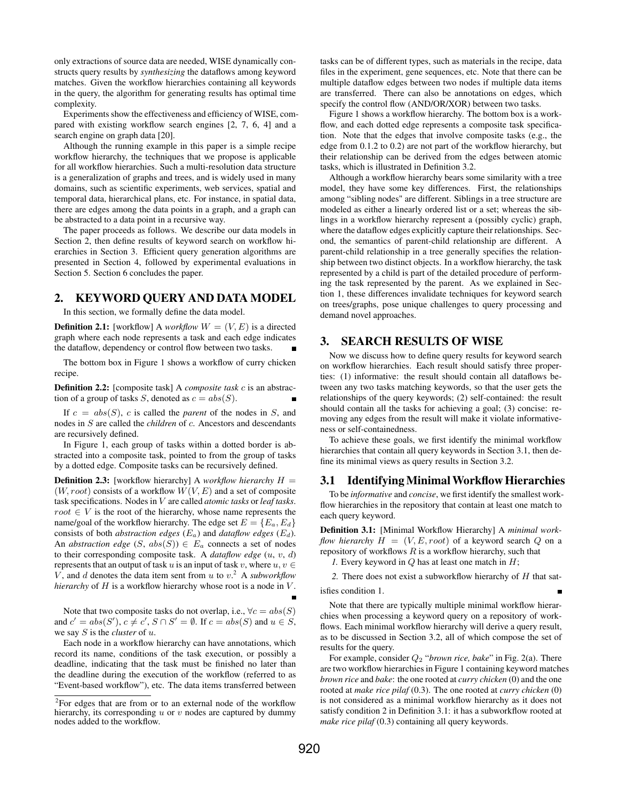only extractions of source data are needed, WISE dynamically constructs query results by *synthesizing* the dataflows among keyword matches. Given the workflow hierarchies containing all keywords in the query, the algorithm for generating results has optimal time complexity.

Experiments show the effectiveness and efficiency of WISE, compared with existing workflow search engines [2, 7, 6, 4] and a search engine on graph data [20].

Although the running example in this paper is a simple recipe workflow hierarchy, the techniques that we propose is applicable for all workflow hierarchies. Such a multi-resolution data structure is a generalization of graphs and trees, and is widely used in many domains, such as scientific experiments, web services, spatial and temporal data, hierarchical plans, etc. For instance, in spatial data, there are edges among the data points in a graph, and a graph can be abstracted to a data point in a recursive way.

The paper proceeds as follows. We describe our data models in Section 2, then define results of keyword search on workflow hierarchies in Section 3. Efficient query generation algorithms are presented in Section 4, followed by experimental evaluations in Section 5. Section 6 concludes the paper.

## 2. KEYWORD QUERY AND DATA MODEL

In this section, we formally define the data model.

**Definition 2.1:** [workflow] A *workflow*  $W = (V, E)$  is a directed graph where each node represents a task and each edge indicates the dataflow, dependency or control flow between two tasks.

The bottom box in Figure 1 shows a workflow of curry chicken recipe.

Definition 2.2: [composite task] A *composite task c* is an abstraction of a group of tasks *S*, denoted as  $c = abs(S)$ .

If  $c = abs(S)$ , *c* is called the *parent* of the nodes in *S*, and nodes in *S* are called the *children* of *c*. Ancestors and descendants are recursively defined.

In Figure 1, each group of tasks within a dotted border is abstracted into a composite task, pointed to from the group of tasks by a dotted edge. Composite tasks can be recursively defined.

Definition 2.3: [workflow hierarchy] A *workflow hierarchy H* =  $(W, root)$  consists of a workflow  $W(V, E)$  and a set of composite task specifications. Nodes in *V* are called *atomic tasks* or *leaf tasks*.  $root \in V$  is the root of the hierarchy, whose name represents the name/goal of the workflow hierarchy. The edge set  $E = \{E_a, E_d\}$ consists of both *abstraction edges* (*Ea*) and *dataflow edges* (*Ed*). An *abstraction edge*  $(S, abs(S)) \in E_a$  connects a set of nodes to their corresponding composite task. A *dataflow edge* (*u*, *v*, *d*) represents that an output of task *u* is an input of task *v*, where  $u, v \in$ *V* , and *d* denotes the data item sent from *u* to *v*. <sup>2</sup> A *subworkflow hierarchy* of *H* is a workflow hierarchy whose root is a node in *V* .

Note that two composite tasks do not overlap, i.e.,  $\forall c = abs(S)$ and  $c' = abs(S'), c \neq c', S \cap S' = \emptyset$ . If  $c = abs(S)$  and  $u \in S$ , we say *S* is the *cluster* of *u*.

Each node in a workflow hierarchy can have annotations, which record its name, conditions of the task execution, or possibly a deadline, indicating that the task must be finished no later than the deadline during the execution of the workflow (referred to as "Event-based workflow"), etc. The data items transferred between tasks can be of different types, such as materials in the recipe, data files in the experiment, gene sequences, etc. Note that there can be multiple dataflow edges between two nodes if multiple data items are transferred. There can also be annotations on edges, which specify the control flow (AND/OR/XOR) between two tasks.

Figure 1 shows a workflow hierarchy. The bottom box is a workflow, and each dotted edge represents a composite task specification. Note that the edges that involve composite tasks (e.g., the edge from 0.1.2 to 0.2) are not part of the workflow hierarchy, but their relationship can be derived from the edges between atomic tasks, which is illustrated in Definition 3.2.

Although a workflow hierarchy bears some similarity with a tree model, they have some key differences. First, the relationships among "sibling nodes" are different. Siblings in a tree structure are modeled as either a linearly ordered list or a set; whereas the siblings in a workflow hierarchy represent a (possibly cyclic) graph, where the dataflow edges explicitly capture their relationships. Second, the semantics of parent-child relationship are different. A parent-child relationship in a tree generally specifies the relationship between two distinct objects. In a workflow hierarchy, the task represented by a child is part of the detailed procedure of performing the task represented by the parent. As we explained in Section 1, these differences invalidate techniques for keyword search on trees/graphs, pose unique challenges to query processing and demand novel approaches.

# 3. SEARCH RESULTS OF WISE

Now we discuss how to define query results for keyword search on workflow hierarchies. Each result should satisfy three properties: (1) informative: the result should contain all dataflows between any two tasks matching keywords, so that the user gets the relationships of the query keywords; (2) self-contained: the result should contain all the tasks for achieving a goal; (3) concise: removing any edges from the result will make it violate informativeness or self-containedness.

To achieve these goals, we first identify the minimal workflow hierarchies that contain all query keywords in Section 3.1, then define its minimal views as query results in Section 3.2.

# 3.1 Identifying Minimal Workflow Hierarchies

To be *informative* and *concise*, we first identify the smallest workflow hierarchies in the repository that contain at least one match to each query keyword.

Definition 3.1: [Minimal Workflow Hierarchy] A *minimal workflow hierarchy*  $H = (V, E, root)$  of a keyword search *Q* on a repository of workflows *R* is a workflow hierarchy, such that

*1.* Every keyword in *Q* has at least one match in *H*;

*2.* There does not exist a subworkflow hierarchy of *H* that satisfies condition 1.

Note that there are typically multiple minimal workflow hierarchies when processing a keyword query on a repository of workflows. Each minimal workflow hierarchy will derive a query result, as to be discussed in Section 3.2, all of which compose the set of results for the query.

For example, consider *Q*<sup>2</sup> "*brown rice, bake*" in Fig. 2(a). There are two workflow hierarchies in Figure 1 containing keyword matches *brown rice* and *bake*: the one rooted at *curry chicken* (0) and the one rooted at *make rice pilaf* (0.3). The one rooted at *curry chicken* (0) is not considered as a minimal workflow hierarchy as it does not satisfy condition 2 in Definition 3.1: it has a subworkflow rooted at *make rice pilaf* (0.3) containing all query keywords.

<sup>&</sup>lt;sup>2</sup>For edges that are from or to an external node of the workflow hierarchy, its corresponding *u* or *v* nodes are captured by dummy nodes added to the workflow.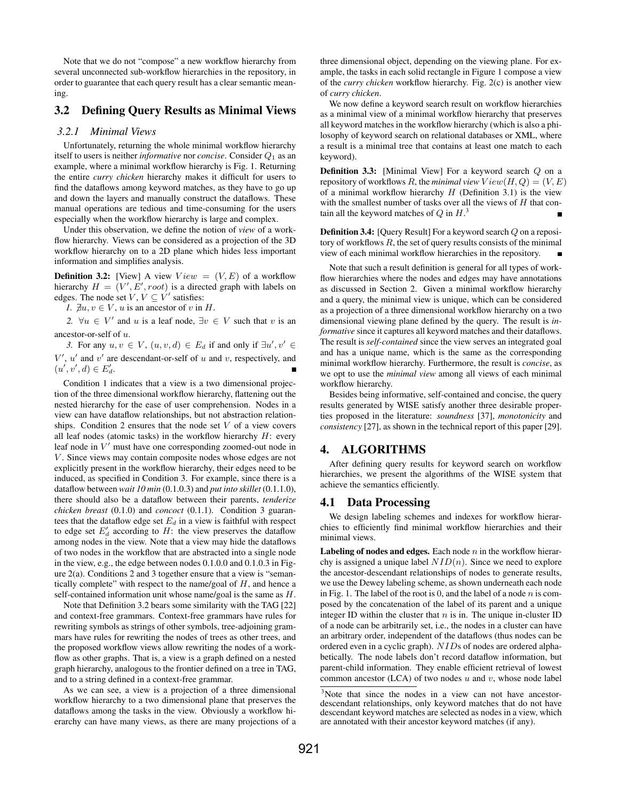Note that we do not "compose" a new workflow hierarchy from several unconnected sub-workflow hierarchies in the repository, in order to guarantee that each query result has a clear semantic meaning.

# 3.2 Defining Query Results as Minimal Views

#### *3.2.1 Minimal Views*

Unfortunately, returning the whole minimal workflow hierarchy itself to users is neither *informative* nor *concise*. Consider *Q*<sup>1</sup> as an example, where a minimal workflow hierarchy is Fig. 1. Returning the entire *curry chicken* hierarchy makes it difficult for users to find the dataflows among keyword matches, as they have to go up and down the layers and manually construct the dataflows. These manual operations are tedious and time-consuming for the users especially when the workflow hierarchy is large and complex.

Under this observation, we define the notion of *view* of a workflow hierarchy. Views can be considered as a projection of the 3D workflow hierarchy on to a 2D plane which hides less important information and simplifies analysis.

**Definition 3.2:** [View] A view  $View = (V, E)$  of a workflow hierarchy  $H = (V', E', root)$  is a directed graph with labels on edges. The node set  $V, V \subseteq V'$  satisfies:

*I.*  $\bar{\mathcal{A}}u, v \in V$ , *u* is an ancestor of *v* in *H*.

2.  $\forall u \in V'$  and *u* is a leaf node,  $\exists v \in V$  such that *v* is an ancestor-or-self of *u*.

*3.* For any  $u, v \in V$ ,  $(u, v, d) \in E_d$  if and only if  $\exists u', v' \in$  $V'$ ,  $u'$  and  $v'$  are descendant-or-self of  $u$  and  $v$ , respectively, and  $(u', v', d) \in E'_d$ .

Condition 1 indicates that a view is a two dimensional projection of the three dimensional workflow hierarchy, flattening out the nested hierarchy for the ease of user comprehension. Nodes in a view can have dataflow relationships, but not abstraction relationships. Condition 2 ensures that the node set  $V$  of a view covers all leaf nodes (atomic tasks) in the workflow hierarchy *H*: every leaf node in *V ′* must have one corresponding zoomed-out node in *V* . Since views may contain composite nodes whose edges are not explicitly present in the workflow hierarchy, their edges need to be induced, as specified in Condition 3. For example, since there is a dataflow between *wait 10 min* (0.1.0.3) and *put into skillet* (0.1.1.0), there should also be a dataflow between their parents, *tenderize chicken breast* (0.1.0) and *concoct* (0.1.1). Condition 3 guarantees that the dataflow edge set  $E_d$  in a view is faithful with respect to edge set  $E'_d$  according to  $H$ : the view preserves the dataflow among nodes in the view. Note that a view may hide the dataflows of two nodes in the workflow that are abstracted into a single node in the view, e.g., the edge between nodes 0.1.0.0 and 0.1.0.3 in Figure 2(a). Conditions 2 and 3 together ensure that a view is "semantically complete" with respect to the name/goal of *H*, and hence a self-contained information unit whose name/goal is the same as *H*.

Note that Definition 3.2 bears some similarity with the TAG [22] and context-free grammars. Context-free grammars have rules for rewriting symbols as strings of other symbols, tree-adjoining grammars have rules for rewriting the nodes of trees as other trees, and the proposed workflow views allow rewriting the nodes of a workflow as other graphs. That is, a view is a graph defined on a nested graph hierarchy, analogous to the frontier defined on a tree in TAG, and to a string defined in a context-free grammar.

As we can see, a view is a projection of a three dimensional workflow hierarchy to a two dimensional plane that preserves the dataflows among the tasks in the view. Obviously a workflow hierarchy can have many views, as there are many projections of a three dimensional object, depending on the viewing plane. For example, the tasks in each solid rectangle in Figure 1 compose a view of the *curry chicken* workflow hierarchy. Fig. 2(c) is another view of *curry chicken*.

We now define a keyword search result on workflow hierarchies as a minimal view of a minimal workflow hierarchy that preserves all keyword matches in the workflow hierarchy (which is also a philosophy of keyword search on relational databases or XML, where a result is a minimal tree that contains at least one match to each keyword).

Definition 3.3: [Minimal View] For a keyword search *Q* on a repository of workflows *R*, the *minimal view*  $View(H, Q) = (V, E)$ of a minimal workflow hierarchy *H* (Definition 3.1) is the view with the smallest number of tasks over all the views of *H* that contain all the keyword matches of *Q* in *H*. 3

Definition 3.4: [Query Result] For a keyword search *Q* on a repository of workflows *R*, the set of query results consists of the minimal view of each minimal workflow hierarchies in the repository.

Note that such a result definition is general for all types of workflow hierarchies where the nodes and edges may have annotations as discussed in Section 2. Given a minimal workflow hierarchy and a query, the minimal view is unique, which can be considered as a projection of a three dimensional workflow hierarchy on a two dimensional viewing plane defined by the query. The result is *informative* since it captures all keyword matches and their dataflows. The result is *self-contained* since the view serves an integrated goal and has a unique name, which is the same as the corresponding minimal workflow hierarchy. Furthermore, the result is *concise*, as we opt to use the *minimal view* among all views of each minimal workflow hierarchy.

Besides being informative, self-contained and concise, the query results generated by WISE satisfy another three desirable properties proposed in the literature: *soundness* [37], *monotonicity* and *consistency* [27], as shown in the technical report of this paper [29].

# 4. ALGORITHMS

After defining query results for keyword search on workflow hierarchies, we present the algorithms of the WISE system that achieve the semantics efficiently.

#### 4.1 Data Processing

We design labeling schemes and indexes for workflow hierarchies to efficiently find minimal workflow hierarchies and their minimal views.

Labeling of nodes and edges. Each node *n* in the workflow hierarchy is assigned a unique label *NID*(*n*). Since we need to explore the ancestor-descendant relationships of nodes to generate results, we use the Dewey labeling scheme, as shown underneath each node in Fig. 1. The label of the root is 0, and the label of a node *n* is composed by the concatenation of the label of its parent and a unique integer ID within the cluster that *n* is in. The unique in-cluster ID of a node can be arbitrarily set, i.e., the nodes in a cluster can have an arbitrary order, independent of the dataflows (thus nodes can be ordered even in a cyclic graph). *NID*s of nodes are ordered alphabetically. The node labels don't record dataflow information, but parent-child information. They enable efficient retrieval of lowest common ancestor (LCA) of two nodes *u* and *v*, whose node label

<sup>&</sup>lt;sup>3</sup>Note that since the nodes in a view can not have ancestordescendant relationships, only keyword matches that do not have descendant keyword matches are selected as nodes in a view, which are annotated with their ancestor keyword matches (if any).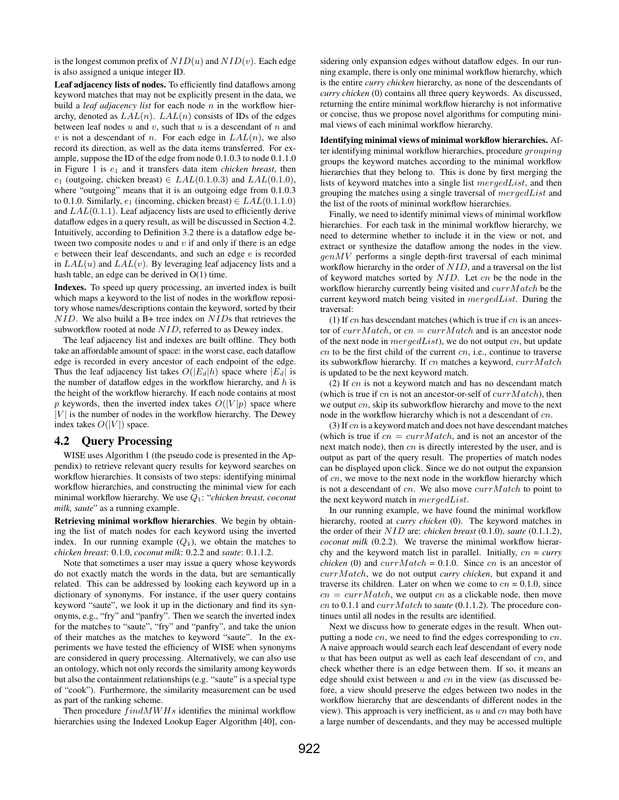is the longest common prefix of *NID*(*u*) and *NID*(*v*). Each edge is also assigned a unique integer ID.

Leaf adjacency lists of nodes. To efficiently find dataflows among keyword matches that may not be explicitly present in the data, we build a *leaf adjacency list* for each node *n* in the workflow hierarchy, denoted as  $LAL(n)$ .  $LAL(n)$  consists of IDs of the edges between leaf nodes *u* and *v*, such that *u* is a descendant of *n* and *v* is not a descendant of *n*. For each edge in  $LAL(n)$ , we also record its direction, as well as the data items transferred. For example, suppose the ID of the edge from node 0.1.0.3 to node 0.1.1.0 in Figure 1 is *e*<sup>1</sup> and it transfers data item *chicken breast*, then *e*<sub>1</sub> (outgoing, chicken breast)  $∈$  *LAL*(0*.*1*.*0*.*3) and *LAL*(0*.*1*.*0), where "outgoing" means that it is an outgoing edge from  $0.1.0.3$ to 0.1.0. Similarly,  $e_1$  (incoming, chicken breast)  $∈$   $LAL(0.1.1.0)$ and *LAL*(0*.*1*.*1). Leaf adjacency lists are used to efficiently derive dataflow edges in a query result, as will be discussed in Section 4.2. Intuitively, according to Definition 3.2 there is a dataflow edge between two composite nodes  $u$  and  $v$  if and only if there is an edge *e* between their leaf descendants, and such an edge *e* is recorded in *LAL*(*u*) and *LAL*(*v*). By leveraging leaf adjacency lists and a hash table, an edge can be derived in O(1) time.

Indexes. To speed up query processing, an inverted index is built which maps a keyword to the list of nodes in the workflow repository whose names/descriptions contain the keyword, sorted by their *NID*. We also build a B+ tree index on *NID*s that retrieves the subworkflow rooted at node *NID*, referred to as Dewey index.

The leaf adjacency list and indexes are built offline. They both take an affordable amount of space: in the worst case, each dataflow edge is recorded in every ancestor of each endpoint of the edge. Thus the leaf adjacency list takes  $O(|E_d|h)$  space where  $|E_d|$  is the number of dataflow edges in the workflow hierarchy, and *h* is the height of the workflow hierarchy. If each node contains at most *p* keywords, then the inverted index takes  $O(|V|p)$  space where  $|V|$  is the number of nodes in the workflow hierarchy. The Dewey index takes  $O(|V|)$  space.

## 4.2 Query Processing

WISE uses Algorithm 1 (the pseudo code is presented in the Appendix) to retrieve relevant query results for keyword searches on workflow hierarchies. It consists of two steps: identifying minimal workflow hierarchies, and constructing the minimal view for each minimal workflow hierarchy. We use *Q*1: "*chicken breast, coconut milk, saute*" as a running example.

Retrieving minimal workflow hierarchies. We begin by obtaining the list of match nodes for each keyword using the inverted index. In our running example  $(Q_1)$ , we obtain the matches to *chicken breast*: 0.1.0, *coconut milk*: 0.2.2 and *saute*: 0.1.1.2.

Note that sometimes a user may issue a query whose keywords do not exactly match the words in the data, but are semantically related. This can be addressed by looking each keyword up in a dictionary of synonyms. For instance, if the user query contains keyword "saute", we look it up in the dictionary and find its synonyms, e.g., "fry" and "panfry". Then we search the inverted index for the matches to "saute", "fry" and "panfry", and take the union of their matches as the matches to keyword "saute". In the experiments we have tested the efficiency of WISE when synonyms are considered in query processing. Alternatively, we can also use an ontology, which not only records the similarity among keywords but also the containment relationships (e.g. "saute" is a special type of "cook"). Furthermore, the similarity measurement can be used as part of the ranking scheme.

Then procedure *f indMW Hs* identifies the minimal workflow hierarchies using the Indexed Lookup Eager Algorithm [40], considering only expansion edges without dataflow edges. In our running example, there is only one minimal workflow hierarchy, which is the entire *curry chicken* hierarchy, as none of the descendants of *curry chicken* (0) contains all three query keywords. As discussed, returning the entire minimal workflow hierarchy is not informative or concise, thus we propose novel algorithms for computing minimal views of each minimal workflow hierarchy.

Identifying minimal views of minimal workflow hierarchies. After identifying minimal workflow hierarchies, procedure *grouping* groups the keyword matches according to the minimal workflow hierarchies that they belong to. This is done by first merging the lists of keyword matches into a single list *mergedList*, and then grouping the matches using a single traversal of *mergedList* and the list of the roots of minimal workflow hierarchies.

Finally, we need to identify minimal views of minimal workflow hierarchies. For each task in the minimal workflow hierarchy, we need to determine whether to include it in the view or not, and extract or synthesize the dataflow among the nodes in the view. *genMV* performs a single depth-first traversal of each minimal workflow hierarchy in the order of *NID*, and a traversal on the list of keyword matches sorted by *NID*. Let *cn* be the node in the workflow hierarchy currently being visited and *currMatch* be the current keyword match being visited in *mergedList*. During the traversal:

(1) If *cn* has descendant matches (which is true if *cn* is an ancestor of *currMatch*, or *cn* = *currMatch* and is an ancestor node of the next node in *mergedList*), we do not output *cn*, but update *cn* to be the first child of the current *cn*, i.e., continue to traverse its subworkflow hierarchy. If *cn* matches a keyword, *currMatch* is updated to be the next keyword match.

(2) If *cn* is not a keyword match and has no descendant match (which is true if *cn* is not an ancestor-or-self of *currMatch*), then we output *cn*, skip its subworkflow hierarchy and move to the next node in the workflow hierarchy which is not a descendant of *cn*.

(3) If *cn* is a keyword match and does not have descendant matches (which is true if  $cn = currMatch$ , and is not an ancestor of the next match node), then *cn* is directly interested by the user, and is output as part of the query result. The properties of match nodes can be displayed upon click. Since we do not output the expansion of *cn*, we move to the next node in the workflow hierarchy which is not a descendant of *cn*. We also move *currMatch* to point to the next keyword match in *mergedList*.

In our running example, we have found the minimal workflow hierarchy, rooted at *curry chicken* (0). The keyword matches in the order of their *NID* are: *chicken breast* (0.1.0), *saute* (0.1.1.2), *coconut milk* (0.2.2). We traverse the minimal workflow hierarchy and the keyword match list in parallel. Initially, *cn* = *curry chicken* (0) and  $currMatch = 0.1.0$ . Since *cn* is an ancestor of *currMatch*, we do not output *curry chicken*, but expand it and traverse its children. Later on when we come to  $cn = 0.1.0$ , since  $cn = currMatch$ , we output *cn* as a clickable node, then move *cn* to 0.1.1 and *currMatch* to *saute* (0.1.1.2). The procedure continues until all nodes in the results are identified.

Next we discuss how to generate edges in the result. When outputting a node *cn*, we need to find the edges corresponding to *cn*. A naive approach would search each leaf descendant of every node *u* that has been output as well as each leaf descendant of *cn*, and check whether there is an edge between them. If so, it means an edge should exist between *u* and *cn* in the view (as discussed before, a view should preserve the edges between two nodes in the workflow hierarchy that are descendants of different nodes in the view). This approach is very inefficient, as *u* and *cn* may both have a large number of descendants, and they may be accessed multiple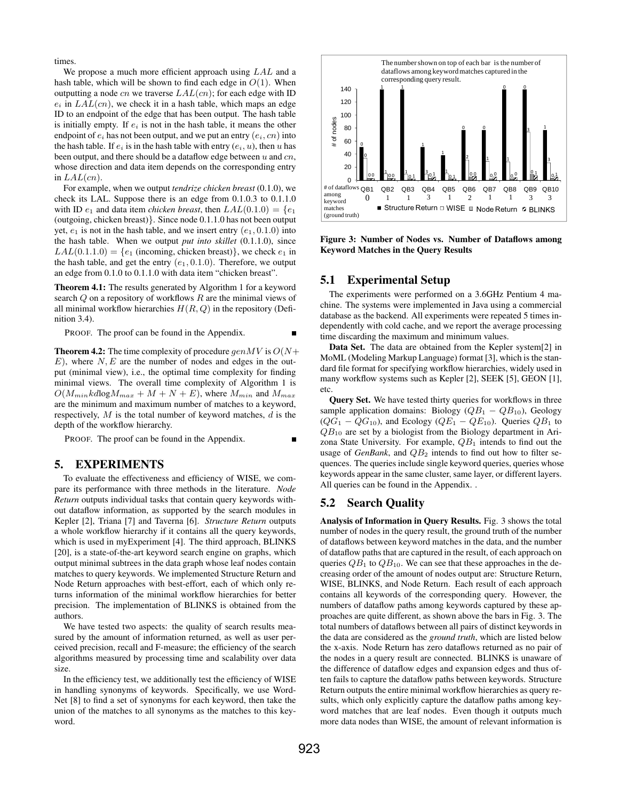times.

We propose a much more efficient approach using *LAL* and a hash table, which will be shown to find each edge in  $O(1)$ . When outputting a node *cn* we traverse *LAL*(*cn*); for each edge with ID  $e_i$  in  $LAL(cn)$ , we check it in a hash table, which maps an edge ID to an endpoint of the edge that has been output. The hash table is initially empty. If  $e_i$  is not in the hash table, it means the other endpoint of  $e_i$  has not been output, and we put an entry  $(e_i, cn)$  into the hash table. If  $e_i$  is in the hash table with entry  $(e_i, u)$ , then *u* has been output, and there should be a dataflow edge between *u* and *cn*, whose direction and data item depends on the corresponding entry in  $LAL(cn)$ .

For example, when we output *tendrize chicken breast* (0.1.0), we check its LAL. Suppose there is an edge from 0.1.0.3 to 0.1.1.0 with ID  $e_1$  and data item *chicken breast*, then  $LAL(0.1.0) = \{e_1\}$ (outgoing, chicken breast)*}*. Since node 0.1.1.0 has not been output yet,  $e_1$  is not in the hash table, and we insert entry  $(e_1, 0.1.0)$  into the hash table. When we output *put into skillet* (0.1.1.0), since  $LAL(0.1.1.0) = \{e_1 \text{ (incoming, chicken breast)}\}$ , we check  $e_1$  in the hash table, and get the entry (*e*1*,* 0*.*1*.*0). Therefore, we output an edge from 0.1.0 to 0.1.1.0 with data item "chicken breast".

Theorem 4.1: The results generated by Algorithm 1 for a keyword search *Q* on a repository of workflows *R* are the minimal views of all minimal workflow hierarchies  $H(R, Q)$  in the repository (Definition 3.4).

PROOF. The proof can be found in the Appendix.

Theorem 4.2: The time complexity of procedure *genMV* is *O*(*N*+ *E*), where *N, E* are the number of nodes and edges in the output (minimal view), i.e., the optimal time complexity for finding minimal views. The overall time complexity of Algorithm 1 is  $O(M_{min}k dlog M_{max} + M + N + E)$ , where  $M_{min}$  and  $M_{max}$ are the minimum and maximum number of matches to a keyword, respectively, *M* is the total number of keyword matches, *d* is the depth of the workflow hierarchy.

PROOF. The proof can be found in the Appendix.

#### 5. EXPERIMENTS

To evaluate the effectiveness and efficiency of WISE, we compare its performance with three methods in the literature. *Node Return* outputs individual tasks that contain query keywords without dataflow information, as supported by the search modules in Kepler [2], Triana [7] and Taverna [6]. *Structure Return* outputs a whole workflow hierarchy if it contains all the query keywords, which is used in myExperiment [4]. The third approach, BLINKS [20], is a state-of-the-art keyword search engine on graphs, which output minimal subtrees in the data graph whose leaf nodes contain matches to query keywords. We implemented Structure Return and Node Return approaches with best-effort, each of which only returns information of the minimal workflow hierarchies for better precision. The implementation of BLINKS is obtained from the authors.

We have tested two aspects: the quality of search results measured by the amount of information returned, as well as user perceived precision, recall and F-measure; the efficiency of the search algorithms measured by processing time and scalability over data size.

In the efficiency test, we additionally test the efficiency of WISE in handling synonyms of keywords. Specifically, we use Word-Net [8] to find a set of synonyms for each keyword, then take the union of the matches to all synonyms as the matches to this keyword.



Figure 3: Number of Nodes vs. Number of Dataflows among Keyword Matches in the Query Results

#### 5.1 Experimental Setup

The experiments were performed on a 3.6GHz Pentium 4 machine. The systems were implemented in Java using a commercial database as the backend. All experiments were repeated 5 times independently with cold cache, and we report the average processing time discarding the maximum and minimum values.

Data Set. The data are obtained from the Kepler system[2] in MoML (Modeling Markup Language) format [3], which is the standard file format for specifying workflow hierarchies, widely used in many workflow systems such as Kepler [2], SEEK [5], GEON [1], etc.

Query Set. We have tested thirty queries for workflows in three sample application domains: Biology ( $QB_1 - QB_{10}$ ), Geology  $(QG_1 - QG_{10})$ , and Ecology  $(QE_1 - QE_{10})$ . Queries  $QB_1$  to *QB*<sup>10</sup> are set by a biologist from the Biology department in Arizona State University. For example, *QB*<sup>1</sup> intends to find out the usage of *GenBank*, and *QB*<sup>2</sup> intends to find out how to filter sequences. The queries include single keyword queries, queries whose keywords appear in the same cluster, same layer, or different layers. All queries can be found in the Appendix. .

#### 5.2 Search Quality

Analysis of Information in Query Results. Fig. 3 shows the total number of nodes in the query result, the ground truth of the number of dataflows between keyword matches in the data, and the number of dataflow paths that are captured in the result, of each approach on queries  $QB_1$  to  $QB_{10}$ . We can see that these approaches in the decreasing order of the amount of nodes output are: Structure Return, WISE, BLINKS, and Node Return. Each result of each approach contains all keywords of the corresponding query. However, the numbers of dataflow paths among keywords captured by these approaches are quite different, as shown above the bars in Fig. 3. The total numbers of dataflows between all pairs of distinct keywords in the data are considered as the *ground truth*, which are listed below the x-axis. Node Return has zero dataflows returned as no pair of the nodes in a query result are connected. BLINKS is unaware of the difference of dataflow edges and expansion edges and thus often fails to capture the dataflow paths between keywords. Structure Return outputs the entire minimal workflow hierarchies as query results, which only explicitly capture the dataflow paths among keyword matches that are leaf nodes. Even though it outputs much more data nodes than WISE, the amount of relevant information is

 $\blacksquare$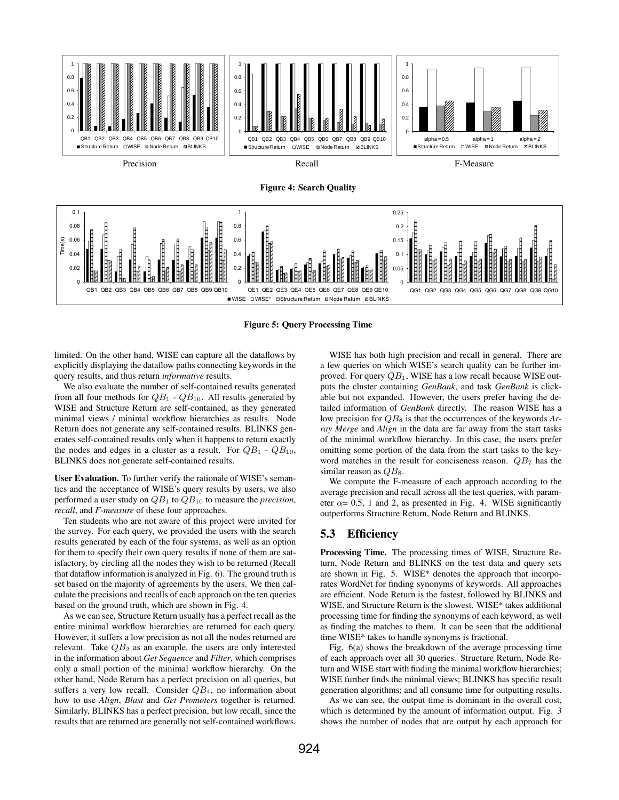



Figure 5: Query Processing Time

limited. On the other hand, WISE can capture all the dataflows by explicitly displaying the dataflow paths connecting keywords in the query results, and thus return *informative* results.

We also evaluate the number of self-contained results generated from all four methods for  $QB_1 - QB_{10}$ . All results generated by WISE and Structure Return are self-contained, as they generated minimal views / minimal workflow hierarchies as results. Node Return does not generate any self-contained results. BLINKS generates self-contained results only when it happens to return exactly the nodes and edges in a cluster as a result. For  $QB_1$  -  $QB_{10}$ , BLINKS does not generate self-contained results.

User Evaluation. To further verify the rationale of WISE's semantics and the acceptance of WISE's query results by users, we also performed a user study on *QB*<sup>1</sup> to *QB*<sup>10</sup> to measure the *precision*, *recall*, and *F-measure* of these four approaches.

Ten students who are not aware of this project were invited for the survey. For each query, we provided the users with the search results generated by each of the four systems, as well as an option for them to specify their own query results if none of them are satisfactory, by circling all the nodes they wish to be returned (Recall that dataflow information is analyzed in Fig. 6). The ground truth is set based on the majority of agreements by the users. We then calculate the precisions and recalls of each approach on the ten queries based on the ground truth, which are shown in Fig. 4.

As we can see, Structure Return usually has a perfect recall as the entire minimal workflow hierarchies are returned for each query. However, it suffers a low precision as not all the nodes returned are relevant. Take  $QB_2$  as an example, the users are only interested in the information about *Get Sequence* and *Filter*, which comprises only a small portion of the minimal workflow hierarchy. On the other hand, Node Return has a perfect precision on all queries, but suffers a very low recall. Consider *QB*4, no information about how to use *Align*, *Blast* and *Get Promoters* together is returned. Similarly, BLINKS has a perfect precision, but low recall, since the results that are returned are generally not self-contained workflows.

WISE has both high precision and recall in general. There are a few queries on which WISE's search quality can be further improved. For query *QB*1, WISE has a low recall because WISE outputs the cluster containing *GenBank*, and task *GenBank* is clickable but not expanded. However, the users prefer having the detailed information of *GenBank* directly. The reason WISE has a low precision for  $QB_8$  is that the occurrences of the keywords *Array Merge* and *Align* in the data are far away from the start tasks of the minimal workflow hierarchy. In this case, the users prefer omitting some portion of the data from the start tasks to the keyword matches in the result for conciseness reason. *QB*<sup>7</sup> has the similar reason as  $QB_8$ .

We compute the F-measure of each approach according to the average precision and recall across all the test queries, with parameter  $\alpha$ = 0.5, 1 and 2, as presented in Fig. 4. WISE significantly outperforms Structure Return, Node Return and BLINKS.

# 5.3 Efficiency

Processing Time. The processing times of WISE, Structure Return, Node Return and BLINKS on the test data and query sets are shown in Fig. 5. WISE\* denotes the approach that incorporates WordNet for finding synonyms of keywords. All approaches are efficient. Node Return is the fastest, followed by BLINKS and WISE, and Structure Return is the slowest. WISE\* takes additional processing time for finding the synonyms of each keyword, as well as finding the matches to them. It can be seen that the additional time WISE\* takes to handle synonyms is fractional.

Fig. 6(a) shows the breakdown of the average processing time of each approach over all 30 queries. Structure Return, Node Return and WISE start with finding the minimal workflow hierarchies; WISE further finds the minimal views; BLINKS has specific result generation algorithms; and all consume time for outputting results.

As we can see, the output time is dominant in the overall cost, which is determined by the amount of information output. Fig. 3 shows the number of nodes that are output by each approach for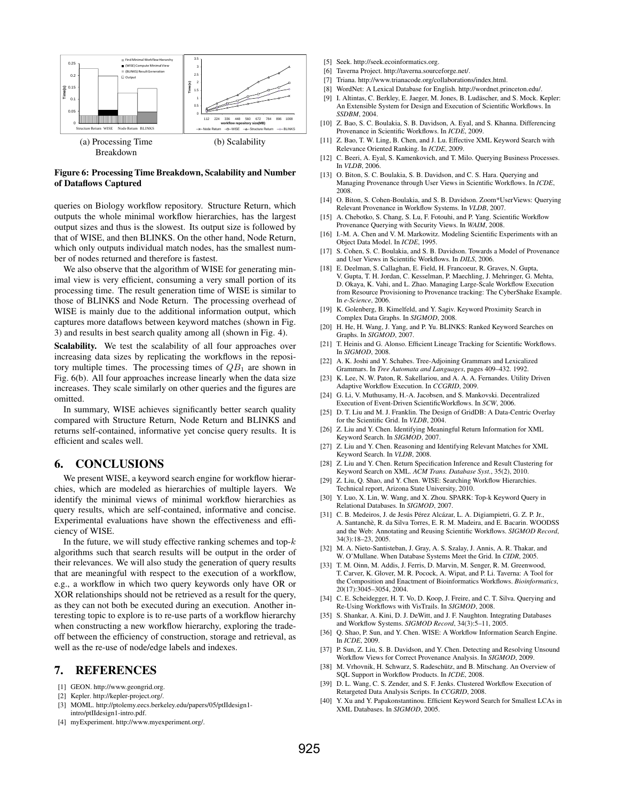

#### Figure 6: Processing Time Breakdown, Scalability and Number of Dataflows Captured

queries on Biology workflow repository. Structure Return, which outputs the whole minimal workflow hierarchies, has the largest output sizes and thus is the slowest. Its output size is followed by that of WISE, and then BLINKS. On the other hand, Node Return, which only outputs individual match nodes, has the smallest number of nodes returned and therefore is fastest.

We also observe that the algorithm of WISE for generating minimal view is very efficient, consuming a very small portion of its processing time. The result generation time of WISE is similar to those of BLINKS and Node Return. The processing overhead of WISE is mainly due to the additional information output, which captures more dataflows between keyword matches (shown in Fig. 3) and results in best search quality among all (shown in Fig. 4).

Scalability. We test the scalability of all four approaches over increasing data sizes by replicating the workflows in the repository multiple times. The processing times of *QB*<sup>1</sup> are shown in Fig. 6(b). All four approaches increase linearly when the data size increases. They scale similarly on other queries and the figures are omitted.

In summary, WISE achieves significantly better search quality compared with Structure Return, Node Return and BLINKS and returns self-contained, informative yet concise query results. It is efficient and scales well.

## 6. CONCLUSIONS

We present WISE, a keyword search engine for workflow hierarchies, which are modeled as hierarchies of multiple layers. We identify the minimal views of minimal workflow hierarchies as query results, which are self-contained, informative and concise. Experimental evaluations have shown the effectiveness and efficiency of WISE.

In the future, we will study effective ranking schemes and top-*k* algorithms such that search results will be output in the order of their relevances. We will also study the generation of query results that are meaningful with respect to the execution of a workflow, e.g., a workflow in which two query keywords only have OR or XOR relationships should not be retrieved as a result for the query, as they can not both be executed during an execution. Another interesting topic to explore is to re-use parts of a workflow hierarchy when constructing a new workflow hierarchy, exploring the tradeoff between the efficiency of construction, storage and retrieval, as well as the re-use of node/edge labels and indexes.

# 7. REFERENCES

- [1] GEON. http://www.geongrid.org.
- [2] Kepler. http://kepler-project.org/.
- [3] MOML. http://ptolemy.eecs.berkeley.edu/papers/05/ptIIdesign1 intro/ptIIdesign1-intro.pdf.
- [4] myExperiment. http://www.myexperiment.org/.
- [5] Seek. http://seek.ecoinformatics.org.
- [6] Taverna Project. http://taverna.sourceforge.net/.
- [7] Triana. http://www.trianacode.org/collaborations/index.html.
- [8] WordNet: A Lexical Database for English. http://wordnet.princeton.edu/.
- [9] I. Altintas, C. Berkley, E. Jaeger, M. Jones, B. Ludäscher, and S. Mock. Kepler: An Extensible System for Design and Execution of Scientific Workflows. In *SSDBM*, 2004.
- [10] Z. Bao, S. C. Boulakia, S. B. Davidson, A. Eyal, and S. Khanna. Differencing Provenance in Scientific Workflows. In *ICDE*, 2009.
- [11] Z. Bao, T. W. Ling, B. Chen, and J. Lu. Effective XML Keyword Search with Relevance Oriented Ranking. In *ICDE*, 2009.
- [12] C. Beeri, A. Eyal, S. Kamenkovich, and T. Milo. Querying Business Processes. In *VLDB*, 2006.
- [13] O. Biton, S. C. Boulakia, S. B. Davidson, and C. S. Hara. Querying and Managing Provenance through User Views in Scientific Workflows. In *ICDE*, 2008.
- [14] O. Biton, S. Cohen-Boulakia, and S. B. Davidson. Zoom\*UserViews: Querying Relevant Provenance in Workflow Systems. In *VLDB*, 2007.
- [15] A. Chebotko, S. Chang, S. Lu, F. Fotouhi, and P. Yang. Scientific Workflow Provenance Querying with Security Views. In *WAIM*, 2008.
- [16] I.-M. A. Chen and V. M. Markowitz. Modeling Scientific Experiments with an Object Data Model. In *ICDE*, 1995.
- [17] S. Cohen, S. C. Boulakia, and S. B. Davidson. Towards a Model of Provenance and User Views in Scientific Workflows. In *DILS*, 2006.
- [18] E. Deelman, S. Callaghan, E. Field, H. Francoeur, R. Graves, N. Gupta, V. Gupta, T. H. Jordan, C. Kesselman, P. Maechling, J. Mehringer, G. Mehta, D. Okaya, K. Vahi, and L. Zhao. Managing Large-Scale Workflow Execution from Resource Provisioning to Provenance tracking: The CyberShake Example. In *e-Science*, 2006.
- [19] K. Golenberg, B. Kimelfeld, and Y. Sagiv. Keyword Proximity Search in Complex Data Graphs. In *SIGMOD*, 2008.
- [20] H. He, H. Wang, J. Yang, and P. Yu. BLINKS: Ranked Keyword Searches on Graphs. In *SIGMOD*, 2007.
- [21] T. Heinis and G. Alonso. Efficient Lineage Tracking for Scientific Workflows. In *SIGMOD*, 2008.
- [22] A. K. Joshi and Y. Schabes. Tree-Adjoining Grammars and Lexicalized Grammars. In *Tree Automata and Languages*, pages 409–432. 1992.
- [23] K. Lee, N. W. Paton, R. Sakellariou, and A. A. A. Fernandes. Utility Driven Adaptive Workflow Execution. In *CCGRID*, 2009.
- [24] G. Li, V. Muthusamy, H.-A. Jacobsen, and S. Mankovski. Decentralized Execution of Event-Driven ScientificWorkflows. In *SCW*, 2006.
- [25] D. T. Liu and M. J. Franklin. The Design of GridDB: A Data-Centric Overlay for the Scientific Grid. In *VLDB*, 2004.
- [26] Z. Liu and Y. Chen. Identifying Meaningful Return Information for XML Keyword Search. In *SIGMOD*, 2007.
- [27] Z. Liu and Y. Chen. Reasoning and Identifying Relevant Matches for XML Keyword Search. In *VLDB*, 2008.
- [28] Z. Liu and Y. Chen. Return Specification Inference and Result Clustering for Keyword Search on XML. *ACM Trans. Database Syst.*, 35(2), 2010.
- [29] Z. Liu, Q. Shao, and Y. Chen. WISE: Searching Workflow Hierarchies. Technical report, Arizona State University, 2010.
- [30] Y. Luo, X. Lin, W. Wang, and X. Zhou. SPARK: Top-k Keyword Query in Relational Databases. In *SIGMOD*, 2007.
- [31] C. B. Medeiros, J. de Jesús Pérez Alcázar, L. A. Digiampietri, G. Z. P. Jr., A. Santanchè, R. da Silva Torres, E. R. M. Madeira, and E. Bacarin. WOODSS and the Web: Annotating and Reusing Scientific Workflows. *SIGMOD Record*, 34(3):18–23, 2005.
- [32] M. A. Nieto-Santisteban, J. Gray, A. S. Szalay, J. Annis, A. R. Thakar, and W. O'Mullane. When Database Systems Meet the Grid. In *CIDR*, 2005.
- [33] T. M. Oinn, M. Addis, J. Ferris, D. Marvin, M. Senger, R. M. Greenwood, T. Carver, K. Glover, M. R. Pocock, A. Wipat, and P. Li. Taverna: A Tool for the Composition and Enactment of Bioinformatics Workflows. *Bioinformatics*, 20(17):3045–3054, 2004.
- [34] C. E. Scheidegger, H. T. Vo, D. Koop, J. Freire, and C. T. Silva. Querying and Re-Using Workflows with VisTrails. In *SIGMOD*, 2008.
- [35] S. Shankar, A. Kini, D. J. DeWitt, and J. F. Naughton. Integrating Databases and Workflow Systems. *SIGMOD Record*, 34(3):5–11, 2005.
- [36] Q. Shao, P. Sun, and Y. Chen. WISE: A Workflow Information Search Engine. In *ICDE*, 2009.
- [37] P. Sun, Z. Liu, S. B. Davidson, and Y. Chen. Detecting and Resolving Unsound Workflow Views for Correct Provenance Analysis. In *SIGMOD*, 2009.
- [38] M. Vrhovnik, H. Schwarz, S. Radeschütz, and B. Mitschang. An Overview of SQL Support in Workflow Products. In *ICDE*, 2008.
- [39] D. L. Wang, C. S. Zender, and S. F. Jenks. Clustered Workflow Execution of Retargeted Data Analysis Scripts. In *CCGRID*, 2008.
- [40] Y. Xu and Y. Papakonstantinou. Efficient Keyword Search for Smallest LCAs in XML Databases. In *SIGMOD*, 2005.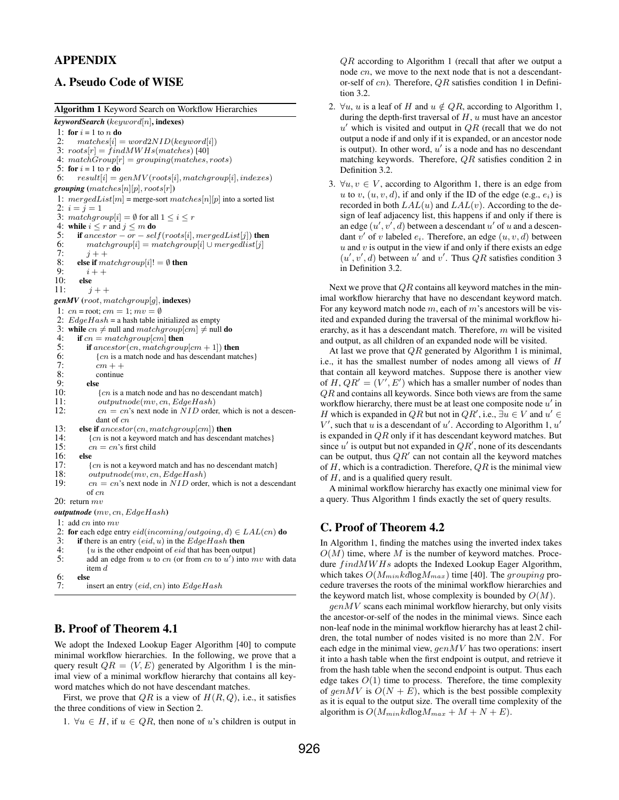# APPENDIX

# A. Pseudo Code of WISE

Algorithm 1 Keyword Search on Workflow Hierarchies

#### *keywordSearch* (*keyword*[*n*], indexes)

1: for  $i = 1$  to *n* do<br>2: matches  $|i|$ 

 $matches[i] = word2NID(keyword[i])$ 

```
3: roots[r] = findMWHs(matches) [40]<br>4: matchGroun[r] = aroundmatches.
```

```
matchGroup[r] = grouping(matches, roots)5: for i = 1 to r do<br>6: result |i| = cresult[i] = genMV(root[i], matchgroup[i], indexes)grouping (matches[n][p], roots[r])
1: mergedList[m] = merge-sort matches[n][p] into a sorted list
2: i = j = 13: matchgroup[i] = \emptyset for all 1 \leq i \leq r4: while i \leq r and j \leq m do<br>5: if ancestor - or - sel
5: if ancestor - or - self(root[i], mergedList[j]) then<br>6: matcharoup[i] = matcharoup[i] \cup mergedlist[j]
 6: matchgroup[i] = matchgroup[i] \cup mergedlist[j]<br>7· i + +7: j++<br>8: else if me
8: else if matchgroup[i]! = \emptyset then 9: i + +9: i + +<br>10: else
10: else<br>11: ij + +genMV (root, matchgroup[g], indexes)
1: cn = root; cm = 1; mv = \emptyset2: EdqeHash = a hash table initialized as empty
3: while cn \neq null and matchgroup[cm] \neq null do<br>4: if cn = match \textit{around} then
4: if cn = matchgroup[m] then<br>5: if ancestor(en, matcharous5: if \text{arccstor}(cn, \text{match}group[m+1]) then<br>6: \{cn \text{ is a match node and has descendant mat}\}\6: {cn is a match node and has descendant matches}<br>7: cm + +7: cm + +<br>8: continue
\begin{array}{ll}\n8: & \text{continue} \\
9: & \text{else}\n\end{array}9: else
                 \{cn \text{ is a match node and has no descendant match}\}11: outputnode(mv, cn, EdgeHash)<br>12: cn = cn's next node in NID orde
                 cn = cn's next node in NID order, which is not a descen-
                dant of cn
13: else if \text{ancestor}(cn, \text{matchgroup}[cm]) then<br>14: \{cn \text{ is not a keyword match and has descend}\}{cn is not a keyword match and has descendant matches}
15: cn = cn's first child<br>16: else
         else
17: \{cn \text{ is not a keyword match and has no descendant match}\}\<br>18: outmutnode(mx, cn. EdgeHash)
```
- 
- 18: *outputnode*(*mv*, *cn*, *EdgeHash*)<br>19: *cn* = *cn*'s next node in *NID* order  $cn = cn$ 's next node in  $NID$  order, which is not a descendant of *cn*

20: return *mv*

*outputnode* (*mv, cn, EdgeHash*)

1: add *cn* into *mv*

```
2: for each edge entry eid(incoming/outgoing, d) \in LAL(cn) do 3: if there is an entry (eid, u) in the EdgeHash then
```
- 3: if there is an entry  $(eid, u)$  in the *EdgeHash* then<br>4:  $\{u \text{ is the other endpoint of } eid \text{ that has been output}\}$
- 4: {*u* is the other endpoint of *eid* that has been output}<br>5: add an edge from *u* to *cn* (or from *cn* to *u'*) into *n* 5: add an edge from  $\overline{u}$  to  $\overline{c}n$  (or from  $\overline{c}n$  to  $\overline{u}$ ) into  $\overline{m}v$  with data item *d*

```
6: else<br>7: i
```
7: insert an entry (*eid, cn*) into *EdgeHash*

# B. Proof of Theorem 4.1

We adopt the Indexed Lookup Eager Algorithm [40] to compute minimal workflow hierarchies. In the following, we prove that a query result  $QR = (V, E)$  generated by Algorithm 1 is the minimal view of a minimal workflow hierarchy that contains all keyword matches which do not have descendant matches.

First, we prove that  $QR$  is a view of  $H(R, Q)$ , i.e., it satisfies the three conditions of view in Section 2.

1.  $∀u ∈ H$ , if  $u ∈ QR$ , then none of *u*'s children is output in

*QR* according to Algorithm 1 (recall that after we output a node *cn*, we move to the next node that is not a descendantor-self of *cn*). Therefore, *QR* satisfies condition 1 in Definition 3.2.

- 2.  $\forall u, u$  is a leaf of *H* and  $u \notin QR$ , according to Algorithm 1, during the depth-first traversal of *H*, *u* must have an ancestor  $u'$  which is visited and output in  $QR$  (recall that we do not output a node if and only if it is expanded, or an ancestor node is output). In other word,  $u'$  is a node and has no descendant matching keywords. Therefore, *QR* satisfies condition 2 in Definition 3.2.
- 3.  $∀u, v ∈ V$ , according to Algorithm 1, there is an edge from *u* to *v*,  $(u, v, d)$ , if and only if the ID of the edge (e.g.,  $e_i$ ) is recorded in both *LAL*(*u*) and *LAL*(*v*). According to the design of leaf adjacency list, this happens if and only if there is an edge  $(u', v', d)$  between a descendant  $u'$  of  $u$  and a descendant  $v'$  of  $v$  labeled  $e_i$ . Therefore, an edge  $(u, v, d)$  between *u* and *v* is output in the view if and only if there exists an edge  $(u', v', d)$  between  $u'$  and  $v'$ . Thus  $QR$  satisfies condition 3 in Definition 3.2.

Next we prove that *QR* contains all keyword matches in the minimal workflow hierarchy that have no descendant keyword match. For any keyword match node *m*, each of *m*'s ancestors will be visited and expanded during the traversal of the minimal workflow hierarchy, as it has a descendant match. Therefore, *m* will be visited and output, as all children of an expanded node will be visited.

At last we prove that *QR* generated by Algorithm 1 is minimal, i.e., it has the smallest number of nodes among all views of *H* that contain all keyword matches. Suppose there is another view of  $H$ ,  $QR' = (V', E')$  which has a smaller number of nodes than *QR* and contains all keywords. Since both views are from the same workflow hierarchy, there must be at least one composite node *u ′* in *H* which is expanded in *QR* but not in *QR'*, i.e.,  $\exists u \in V$  and  $u' \in V$  $V'$ , such that  $u$  is a descendant of  $u'$ . According to Algorithm 1,  $u'$ is expanded in *QR* only if it has descendant keyword matches. But since  $u'$  is output but not expanded in  $QR'$ , none of its descendants can be output, thus *QR′* can not contain all the keyword matches of *H*, which is a contradiction. Therefore, *QR* is the minimal view of *H*, and is a qualified query result.

A minimal workflow hierarchy has exactly one minimal view for a query. Thus Algorithm 1 finds exactly the set of query results.

# C. Proof of Theorem 4.2

In Algorithm 1, finding the matches using the inverted index takes  $O(M)$  time, where *M* is the number of keyword matches. Procedure  $findMWHs$  adopts the Indexed Lookup Eager Algorithm, which takes  $O(M_{min} k d \log M_{max})$  time [40]. The *grouping* procedure traverses the roots of the minimal workflow hierarchies and the keyword match list, whose complexity is bounded by  $O(M)$ .

*genMV* scans each minimal workflow hierarchy, but only visits the ancestor-or-self of the nodes in the minimal views. Since each non-leaf node in the minimal workflow hierarchy has at least 2 children, the total number of nodes visited is no more than 2*N*. For each edge in the minimal view, *genMV* has two operations: insert it into a hash table when the first endpoint is output, and retrieve it from the hash table when the second endpoint is output. Thus each edge takes  $O(1)$  time to process. Therefore, the time complexity of  $\varphi$ *enMV* is  $O(N + E)$ , which is the best possible complexity as it is equal to the output size. The overall time complexity of the algorithm is  $O(M_{min}k dlog M_{max} + M + N + E)$ .